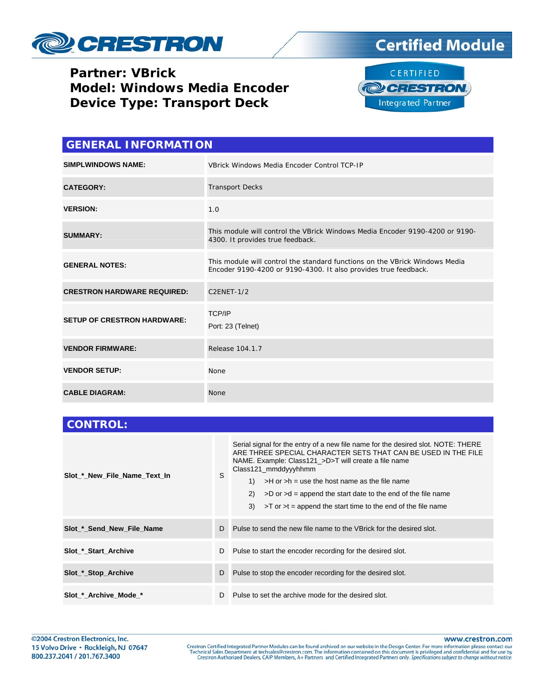

#### **Partner: VBrick Model: Windows Media Encoder Device Type: Transport Deck**





| <b>GENERAL INFORMATION</b>         |                                                                                                                                                |  |
|------------------------------------|------------------------------------------------------------------------------------------------------------------------------------------------|--|
| <b>SIMPLWINDOWS NAME:</b>          | VBrick Windows Media Encoder Control TCP-IP                                                                                                    |  |
| <b>CATEGORY:</b>                   | <b>Transport Decks</b>                                                                                                                         |  |
| <b>VERSION:</b>                    | 1.0                                                                                                                                            |  |
| <b>SUMMARY:</b>                    | This module will control the VBrick Windows Media Encoder 9190-4200 or 9190-<br>4300. It provides true feedback.                               |  |
| <b>GENERAL NOTES:</b>              | This module will control the standard functions on the VBrick Windows Media<br>Encoder 9190-4200 or 9190-4300. It also provides true feedback. |  |
| <b>CRESTRON HARDWARE REQUIRED:</b> | <b>C2ENET-1/2</b>                                                                                                                              |  |
| <b>SETUP OF CRESTRON HARDWARE:</b> | <b>TCP/IP</b><br>Port: 23 (Telnet)                                                                                                             |  |
| <b>VENDOR FIRMWARE:</b>            | Release 104.1.7                                                                                                                                |  |
| <b>VENDOR SETUP:</b>               | None                                                                                                                                           |  |
| <b>CABLE DIAGRAM:</b>              | <b>None</b>                                                                                                                                    |  |

| <b>CONTROL:</b>              |   |                                                                                                                                                                                                                                                                                                                                                                                                                                                       |
|------------------------------|---|-------------------------------------------------------------------------------------------------------------------------------------------------------------------------------------------------------------------------------------------------------------------------------------------------------------------------------------------------------------------------------------------------------------------------------------------------------|
| Slot * New File Name Text In | S | Serial signal for the entry of a new file name for the desired slot. NOTE: THERE<br>ARE THREE SPECIAL CHARACTER SETS THAT CAN BE USED IN THE FILE<br>NAME. Example: Class121_>D>T will create a file name<br>Class121_mmddyyyhhmm<br>$>H$ or $>h$ = use the host name as the file name<br>1)<br>(2)<br>$>$ D or $>$ d = append the start date to the end of the file name<br>3)<br>$>$ T or $>$ t = append the start time to the end of the file name |
| Slot_*_Send_New_File_Name    | D | Pulse to send the new file name to the VBrick for the desired slot.                                                                                                                                                                                                                                                                                                                                                                                   |
| Slot * Start Archive         | D | Pulse to start the encoder recording for the desired slot.                                                                                                                                                                                                                                                                                                                                                                                            |
| Slot_*_Stop_Archive          | D | Pulse to stop the encoder recording for the desired slot.                                                                                                                                                                                                                                                                                                                                                                                             |
| Slot_*_Archive_Mode_*        | D | Pulse to set the archive mode for the desired slot.                                                                                                                                                                                                                                                                                                                                                                                                   |

www.crestron.com

Crestron Certified Integrated Partner Modules can be found archived on our website in the Design Center. For more information please contact our Technical Sales Department at techsales@crestron.com. The information contain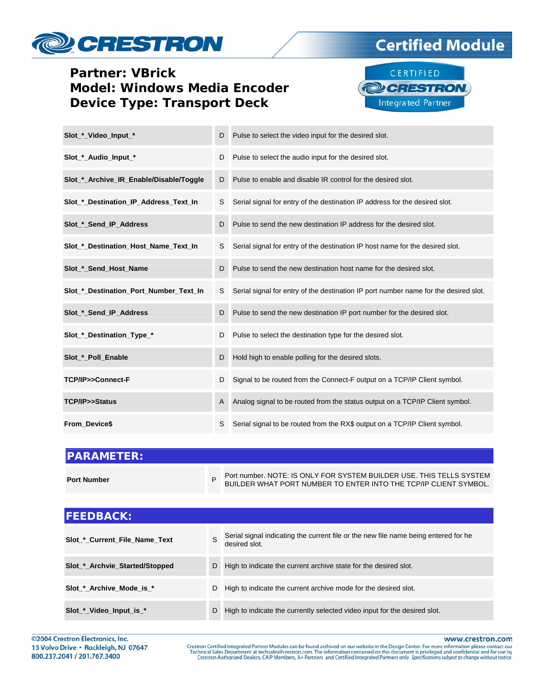# **CRESTRON**

### **Partner: VBrick Model: Windows Media Encoder Device Type: Transport Deck**



**Certified Module** 

| Slot_*_Video_Input_*                    | D | Pulse to select the video input for the desired slot.                                |
|-----------------------------------------|---|--------------------------------------------------------------------------------------|
| Slot_*_Audio_Input_*                    | D | Pulse to select the audio input for the desired slot.                                |
| Slot_*_Archive_IR_Enable/Disable/Toggle | D | Pulse to enable and disable IR control for the desired slot.                         |
| Slot_*_Destination_IP_Address_Text_In   | S | Serial signal for entry of the destination IP address for the desired slot.          |
| Slot_*_Send_IP_Address                  | D | Pulse to send the new destination IP address for the desired slot.                   |
| Slot_*_Destination_Host_Name_Text_In    | S | Serial signal for entry of the destination IP host name for the desired slot.        |
| Slot_*_Send_Host_Name                   | D | Pulse to send the new destination host name for the desired slot.                    |
| Slot_*_Destination_Port_Number_Text_In  | S | Serial signal for entry of the destination IP port number name for the desired slot. |
| Slot * Send IP Address                  | D | Pulse to send the new destination IP port number for the desired slot.               |
| Slot_*_Destination_Type_*               | D | Pulse to select the destination type for the desired slot.                           |
| Slot * Poll Enable                      | D | Hold high to enable polling for the desired slots.                                   |
| TCP/IP>>Connect-F                       | D | Signal to be routed from the Connect-F output on a TCP/IP Client symbol.             |
| TCP/IP>>Status                          | A | Analog signal to be routed from the status output on a TCP/IP Client symbol.         |
| From Device\$                           | S | Serial signal to be routed from the RX\$ output on a TCP/IP Client symbol.           |

| <b>IPARAMETER:</b> |   |                                                                                                                                       |
|--------------------|---|---------------------------------------------------------------------------------------------------------------------------------------|
| <b>Port Number</b> | P | Port number. NOTE: IS ONLY FOR SYSTEM BUILDER USE. THIS TELLS SYSTEM BUILDER WHAT PORT NUMBER TO ENTER INTO THE TCP/IP CLIENT SYMBOL. |
|                    |   |                                                                                                                                       |
| <b>FEEDBACK:</b>   |   |                                                                                                                                       |

| Slot * Current File Name Text  | S. | Serial signal indicating the current file or the new file name being entered for he<br>desired slot. |
|--------------------------------|----|------------------------------------------------------------------------------------------------------|
| Slot_*_Archvie_Started/Stopped | D. | High to indicate the current archive state for the desired slot.                                     |
| Slot * Archive Mode is *       |    | D High to indicate the current archive mode for the desired slot.                                    |
| Slot *_Video_Input_is_*        | D  | High to indicate the currently selected video input for the desired slot.                            |

©2004 Crestron Electronics, Inc. 15 Volvo Drive · Rockleigh, NJ 07647 800.237.2041 / 201.767.3400

www.crestron.com

Crestron Certified Integrated Partner Modules can be found archived on our website in the Design Center. For more information please contact our Technical Sales Department at techsales@crestron.com. The information contain